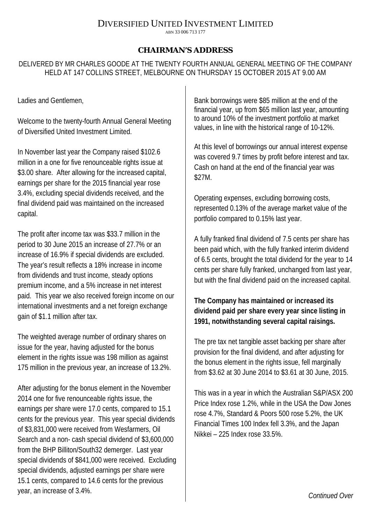## DIVERSIFIED UNITED INVESTMENT LIMITED

ABN 33 006 713 177

## **CHAIRMAN'S ADDRESS**

DELIVERED BY MR CHARLES GOODE AT THE TWENTY FOURTH ANNUAL GENERAL MEETING OF THE COMPANY HELD AT 147 COLLINS STREET, MELBOURNE ON THURSDAY 15 OCTOBER 2015 AT 9.00 AM

Ladies and Gentlemen,

Welcome to the twenty-fourth Annual General Meeting of Diversified United Investment Limited.

In November last year the Company raised \$102.6 million in a one for five renounceable rights issue at \$3.00 share. After allowing for the increased capital, earnings per share for the 2015 financial year rose 3.4%, excluding special dividends received, and the final dividend paid was maintained on the increased capital.

The profit after income tax was \$33.7 million in the period to 30 June 2015 an increase of 27.7% or an increase of 16.9% if special dividends are excluded. The year's result reflects a 18% increase in income from dividends and trust income, steady options premium income, and a 5% increase in net interest paid. This year we also received foreign income on our international investments and a net foreign exchange gain of \$1.1 million after tax.

The weighted average number of ordinary shares on issue for the year, having adjusted for the bonus element in the rights issue was 198 million as against 175 million in the previous year, an increase of 13.2%.

After adjusting for the bonus element in the November 2014 one for five renounceable rights issue, the earnings per share were 17.0 cents, compared to 15.1 cents for the previous year. This year special dividends of \$3,831,000 were received from Wesfarmers, Oil Search and a non- cash special dividend of \$3,600,000 from the BHP Billiton/South32 demerger. Last year special dividends of \$841,000 were received. Excluding special dividends, adjusted earnings per share were 15.1 cents, compared to 14.6 cents for the previous year, an increase of 3.4%.

Bank borrowings were \$85 million at the end of the financial year, up from \$65 million last year, amounting to around 10% of the investment portfolio at market values, in line with the historical range of 10-12%.

At this level of borrowings our annual interest expense was covered 9.7 times by profit before interest and tax. Cash on hand at the end of the financial year was \$27M.

Operating expenses, excluding borrowing costs, represented 0.13% of the average market value of the portfolio compared to 0.15% last year.

A fully franked final dividend of 7.5 cents per share has been paid which, with the fully franked interim dividend of 6.5 cents, brought the total dividend for the year to 14 cents per share fully franked, unchanged from last year, but with the final dividend paid on the increased capital.

## **The Company has maintained or increased its dividend paid per share every year since listing in 1991, notwithstanding several capital raisings.**

The pre tax net tangible asset backing per share after provision for the final dividend, and after adjusting for the bonus element in the rights issue, fell marginally from \$3.62 at 30 June 2014 to \$3.61 at 30 June, 2015.

This was in a year in which the Australian S&P/ASX 200 Price Index rose 1.2%, while in the USA the Dow Jones rose 4.7%, Standard & Poors 500 rose 5.2%, the UK Financial Times 100 Index fell 3.3%, and the Japan Nikkei – 225 Index rose 33.5%.

*Continued Over*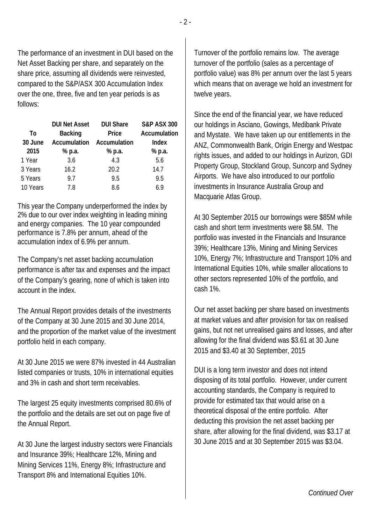The performance of an investment in DUI based on the Net Asset Backing per share, and separately on the share price, assuming all dividends were reinvested, compared to the S&P/ASX 300 Accumulation Index over the one, three, five and ten year periods is as follows:

| To<br>30 June | <b>DUI Net Asset</b><br><b>Backing</b><br><b>Accumulation</b> | <b>DUI Share</b><br>Price<br>Accumulation | <b>S&amp;P ASX 300</b><br>Accumulation<br>Index |
|---------------|---------------------------------------------------------------|-------------------------------------------|-------------------------------------------------|
| 2015          | % p.a.                                                        | % p.a.                                    | % p.a.                                          |
| 1 Year        | 3.6                                                           | 4.3                                       | 5.6                                             |
| 3 Years       | 16.2                                                          | 20.2                                      | 14.7                                            |
| 5 Years       | 97                                                            | 9.5                                       | 9.5                                             |
| 10 Years      | 7.8                                                           | 8.6                                       | 69                                              |

This year the Company underperformed the index by 2% due to our over index weighting in leading mining and energy companies. The 10 year compounded performance is 7.8% per annum, ahead of the accumulation index of 6.9% per annum.

The Company's net asset backing accumulation performance is after tax and expenses and the impact of the Company's gearing, none of which is taken into account in the index.

The Annual Report provides details of the investments of the Company at 30 June 2015 and 30 June 2014, and the proportion of the market value of the investment portfolio held in each company.

At 30 June 2015 we were 87% invested in 44 Australian listed companies or trusts, 10% in international equities and 3% in cash and short term receivables.

The largest 25 equity investments comprised 80.6% of the portfolio and the details are set out on page five of the Annual Report.

At 30 June the largest industry sectors were Financials and Insurance 39%; Healthcare 12%, Mining and Mining Services 11%, Energy 8%; Infrastructure and Transport 8% and International Equities 10%.

Turnover of the portfolio remains low. The average turnover of the portfolio (sales as a percentage of portfolio value) was 8% per annum over the last 5 years which means that on average we hold an investment for twelve years.

Since the end of the financial year, we have reduced our holdings in Asciano, Gowings, Medibank Private and Mystate. We have taken up our entitlements in the ANZ, Commonwealth Bank, Origin Energy and Westpac rights issues, and added to our holdings in Aurizon, GDI Property Group, Stockland Group, Suncorp and Sydney Airports. We have also introduced to our portfolio investments in Insurance Australia Group and Macquarie Atlas Group.

At 30 September 2015 our borrowings were \$85M while cash and short term investments were \$8.5M. The portfolio was invested in the Financials and Insurance 39%; Healthcare 13%, Mining and Mining Services 10%, Energy 7%; Infrastructure and Transport 10% and International Equities 10%, while smaller allocations to other sectors represented 10% of the portfolio, and cash 1%.

Our net asset backing per share based on investments at market values and after provision for tax on realised gains, but not net unrealised gains and losses, and after allowing for the final dividend was \$3.61 at 30 June 2015 and \$3.40 at 30 September, 2015

DUI is a long term investor and does not intend disposing of its total portfolio. However, under current accounting standards, the Company is required to provide for estimated tax that would arise on a theoretical disposal of the entire portfolio. After deducting this provision the net asset backing per share, after allowing for the final dividend, was \$3.17 at 30 June 2015 and at 30 September 2015 was \$3.04.